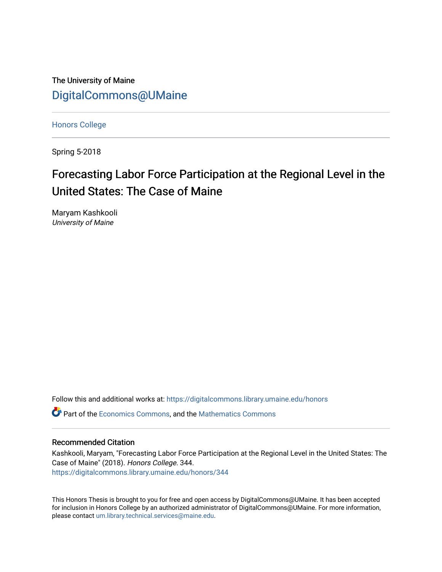The University of Maine [DigitalCommons@UMaine](https://digitalcommons.library.umaine.edu/)

[Honors College](https://digitalcommons.library.umaine.edu/honors)

Spring 5-2018

# Forecasting Labor Force Participation at the Regional Level in the United States: The Case of Maine

Maryam Kashkooli University of Maine

Follow this and additional works at: [https://digitalcommons.library.umaine.edu/honors](https://digitalcommons.library.umaine.edu/honors?utm_source=digitalcommons.library.umaine.edu%2Fhonors%2F344&utm_medium=PDF&utm_campaign=PDFCoverPages) 

Part of the [Economics Commons](http://network.bepress.com/hgg/discipline/340?utm_source=digitalcommons.library.umaine.edu%2Fhonors%2F344&utm_medium=PDF&utm_campaign=PDFCoverPages), and the [Mathematics Commons](http://network.bepress.com/hgg/discipline/174?utm_source=digitalcommons.library.umaine.edu%2Fhonors%2F344&utm_medium=PDF&utm_campaign=PDFCoverPages)

#### Recommended Citation

Kashkooli, Maryam, "Forecasting Labor Force Participation at the Regional Level in the United States: The Case of Maine" (2018). Honors College. 344. [https://digitalcommons.library.umaine.edu/honors/344](https://digitalcommons.library.umaine.edu/honors/344?utm_source=digitalcommons.library.umaine.edu%2Fhonors%2F344&utm_medium=PDF&utm_campaign=PDFCoverPages) 

This Honors Thesis is brought to you for free and open access by DigitalCommons@UMaine. It has been accepted for inclusion in Honors College by an authorized administrator of DigitalCommons@UMaine. For more information, please contact [um.library.technical.services@maine.edu.](mailto:um.library.technical.services@maine.edu)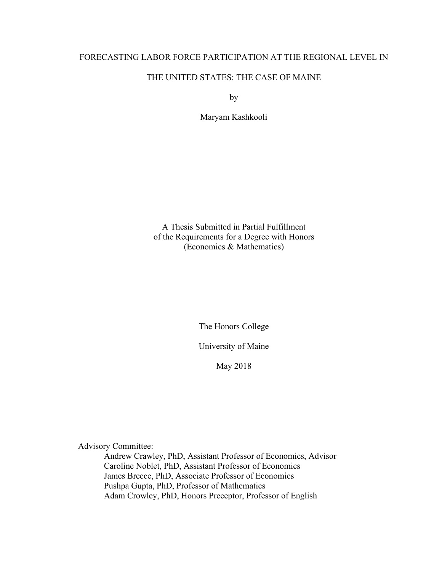### FORECASTING LABOR FORCE PARTICIPATION AT THE REGIONAL LEVEL IN

# THE UNITED STATES: THE CASE OF MAINE

by

Maryam Kashkooli

A Thesis Submitted in Partial Fulfillment of the Requirements for a Degree with Honors (Economics & Mathematics)

The Honors College

University of Maine

May 2018

Advisory Committee:

Andrew Crawley, PhD, Assistant Professor of Economics, Advisor Caroline Noblet, PhD, Assistant Professor of Economics James Breece, PhD, Associate Professor of Economics Pushpa Gupta, PhD, Professor of Mathematics Adam Crowley, PhD, Honors Preceptor, Professor of English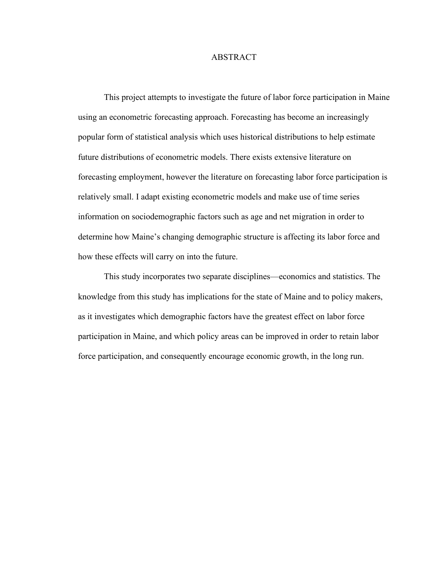#### ABSTRACT

This project attempts to investigate the future of labor force participation in Maine using an econometric forecasting approach. Forecasting has become an increasingly popular form of statistical analysis which uses historical distributions to help estimate future distributions of econometric models. There exists extensive literature on forecasting employment, however the literature on forecasting labor force participation is relatively small. I adapt existing econometric models and make use of time series information on sociodemographic factors such as age and net migration in order to determine how Maine's changing demographic structure is affecting its labor force and how these effects will carry on into the future.

This study incorporates two separate disciplines—economics and statistics. The knowledge from this study has implications for the state of Maine and to policy makers, as it investigates which demographic factors have the greatest effect on labor force participation in Maine, and which policy areas can be improved in order to retain labor force participation, and consequently encourage economic growth, in the long run.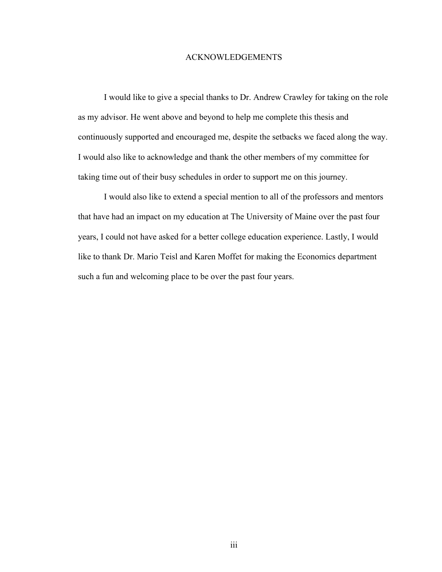#### ACKNOWLEDGEMENTS

I would like to give a special thanks to Dr. Andrew Crawley for taking on the role as my advisor. He went above and beyond to help me complete this thesis and continuously supported and encouraged me, despite the setbacks we faced along the way. I would also like to acknowledge and thank the other members of my committee for taking time out of their busy schedules in order to support me on this journey.

I would also like to extend a special mention to all of the professors and mentors that have had an impact on my education at The University of Maine over the past four years, I could not have asked for a better college education experience. Lastly, I would like to thank Dr. Mario Teisl and Karen Moffet for making the Economics department such a fun and welcoming place to be over the past four years.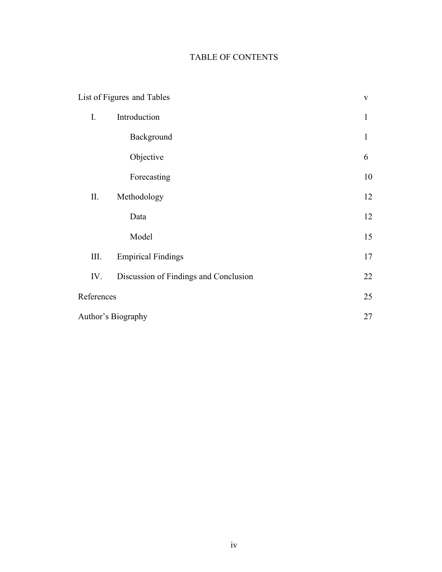# TABLE OF CONTENTS

|            | List of Figures and Tables            | $\mathbf V$  |
|------------|---------------------------------------|--------------|
| I.         | Introduction                          |              |
|            | Background                            | $\mathbf{1}$ |
|            | Objective                             | 6            |
|            | Forecasting                           | 10           |
| П.         | Methodology                           | 12           |
|            | Data                                  | 12           |
|            | Model                                 | 15           |
| Ш.         | <b>Empirical Findings</b>             | 17           |
| IV.        | Discussion of Findings and Conclusion | 22           |
| References |                                       | 25           |
|            | Author's Biography                    | 27           |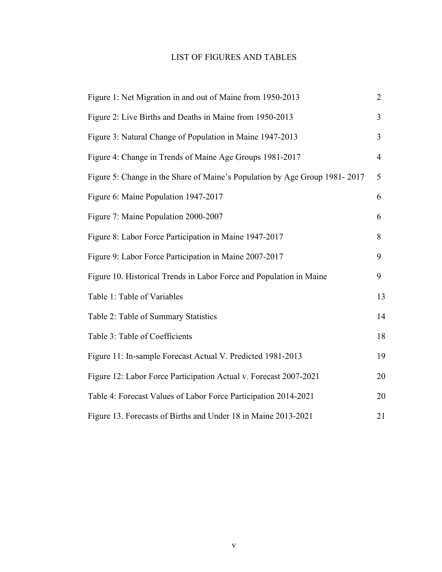# LIST OF FIGURES AND TABLES

| Figure 1: Net Migration in and out of Maine from 1950-2013                 | $\overline{2}$ |
|----------------------------------------------------------------------------|----------------|
| Figure 2: Live Births and Deaths in Maine from 1950-2013                   | $\overline{3}$ |
| Figure 3: Natural Change of Population in Maine 1947-2013                  | 3              |
| Figure 4: Change in Trends of Maine Age Groups 1981-2017                   | $\overline{4}$ |
| Figure 5: Change in the Share of Maine's Population by Age Group 1981-2017 | 5              |
| Figure 6: Maine Population 1947-2017                                       | 6              |
| Figure 7: Maine Population 2000-2007                                       | 6              |
| Figure 8: Labor Force Participation in Maine 1947-2017                     | 8              |
| Figure 9: Labor Force Participation in Maine 2007-2017                     | 9              |
| Figure 10. Historical Trends in Labor Force and Population in Maine        | 9              |
| Table 1: Table of Variables                                                | 13             |
| Table 2: Table of Summary Statistics                                       | 14             |
| Table 3: Table of Coefficients                                             | 18             |
| Figure 11: In-sample Forecast Actual V. Predicted 1981-2013                | 19             |
| Figure 12: Labor Force Participation Actual v. Forecast 2007-2021          | 20             |
| Table 4: Forecast Values of Labor Force Participation 2014-2021            | 20             |
| Figure 13. Forecasts of Births and Under 18 in Maine 2013-2021             | 21             |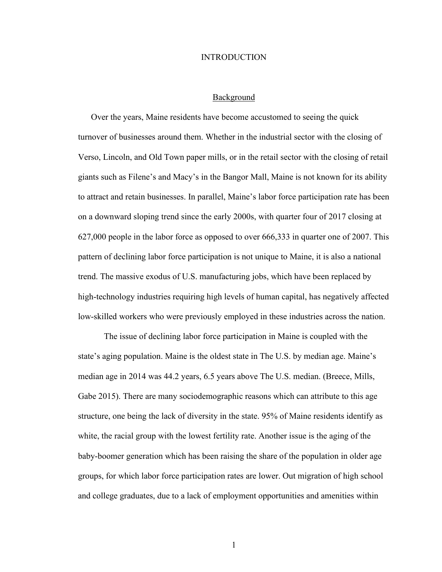#### INTRODUCTION

#### Background

Over the years, Maine residents have become accustomed to seeing the quick turnover of businesses around them. Whether in the industrial sector with the closing of Verso, Lincoln, and Old Town paper mills, or in the retail sector with the closing of retail giants such as Filene's and Macy's in the Bangor Mall, Maine is not known for its ability to attract and retain businesses. In parallel, Maine's labor force participation rate has been on a downward sloping trend since the early 2000s, with quarter four of 2017 closing at 627,000 people in the labor force as opposed to over 666,333 in quarter one of 2007. This pattern of declining labor force participation is not unique to Maine, it is also a national trend. The massive exodus of U.S. manufacturing jobs, which have been replaced by high-technology industries requiring high levels of human capital, has negatively affected low-skilled workers who were previously employed in these industries across the nation.

The issue of declining labor force participation in Maine is coupled with the state's aging population. Maine is the oldest state in The U.S. by median age. Maine's median age in 2014 was 44.2 years, 6.5 years above The U.S. median. (Breece, Mills, Gabe 2015). There are many sociodemographic reasons which can attribute to this age structure, one being the lack of diversity in the state. 95% of Maine residents identify as white, the racial group with the lowest fertility rate. Another issue is the aging of the baby-boomer generation which has been raising the share of the population in older age groups, for which labor force participation rates are lower. Out migration of high school and college graduates, due to a lack of employment opportunities and amenities within

1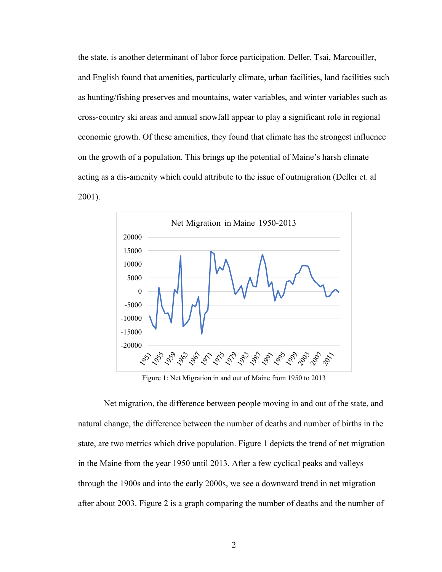the state, is another determinant of labor force participation. Deller, Tsai, Marcouiller, and English found that amenities, particularly climate, urban facilities, land facilities such as hunting/fishing preserves and mountains, water variables, and winter variables such as cross-country ski areas and annual snowfall appear to play a significant role in regional economic growth. Of these amenities, they found that climate has the strongest influence on the growth of a population. This brings up the potential of Maine's harsh climate acting as a dis-amenity which could attribute to the issue of outmigration (Deller et. al 2001).



Figure 1: Net Migration in and out of Maine from 1950 to 2013

Net migration, the difference between people moving in and out of the state, and natural change, the difference between the number of deaths and number of births in the state, are two metrics which drive population. Figure 1 depicts the trend of net migration in the Maine from the year 1950 until 2013. After a few cyclical peaks and valleys through the 1900s and into the early 2000s, we see a downward trend in net migration after about 2003. Figure 2 is a graph comparing the number of deaths and the number of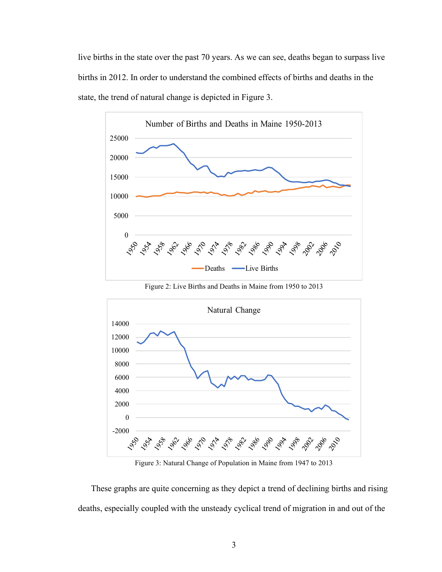live births in the state over the past 70 years. As we can see, deaths began to surpass live births in 2012. In order to understand the combined effects of births and deaths in the state, the trend of natural change is depicted in Figure 3.



Figure 2: Live Births and Deaths in Maine from 1950 to 2013



Figure 3: Natural Change of Population in Maine from 1947 to 2013

These graphs are quite concerning as they depict a trend of declining births and rising deaths, especially coupled with the unsteady cyclical trend of migration in and out of the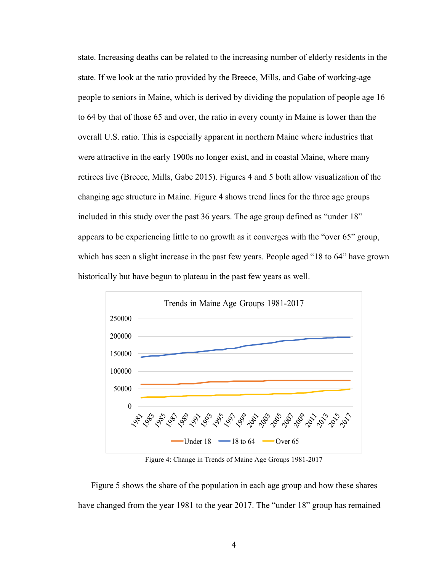state. Increasing deaths can be related to the increasing number of elderly residents in the state. If we look at the ratio provided by the Breece, Mills, and Gabe of working-age people to seniors in Maine, which is derived by dividing the population of people age 16 to 64 by that of those 65 and over, the ratio in every county in Maine is lower than the overall U.S. ratio. This is especially apparent in northern Maine where industries that were attractive in the early 1900s no longer exist, and in coastal Maine, where many retirees live (Breece, Mills, Gabe 2015). Figures 4 and 5 both allow visualization of the changing age structure in Maine. Figure 4 shows trend lines for the three age groups included in this study over the past 36 years. The age group defined as "under 18" appears to be experiencing little to no growth as it converges with the "over 65" group, which has seen a slight increase in the past few years. People aged "18 to 64" have grown historically but have begun to plateau in the past few years as well.



Figure 4: Change in Trends of Maine Age Groups 1981-2017

Figure 5 shows the share of the population in each age group and how these shares have changed from the year 1981 to the year 2017. The "under 18" group has remained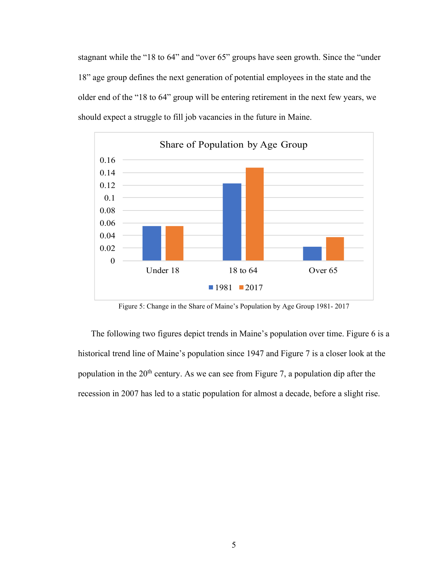stagnant while the "18 to 64" and "over 65" groups have seen growth. Since the "under 18" age group defines the next generation of potential employees in the state and the older end of the "18 to 64" group will be entering retirement in the next few years, we should expect a struggle to fill job vacancies in the future in Maine.



Figure 5: Change in the Share of Maine's Population by Age Group 1981- 2017

The following two figures depict trends in Maine's population over time. Figure 6 is a historical trend line of Maine's population since 1947 and Figure 7 is a closer look at the population in the 20<sup>th</sup> century. As we can see from Figure 7, a population dip after the recession in 2007 has led to a static population for almost a decade, before a slight rise.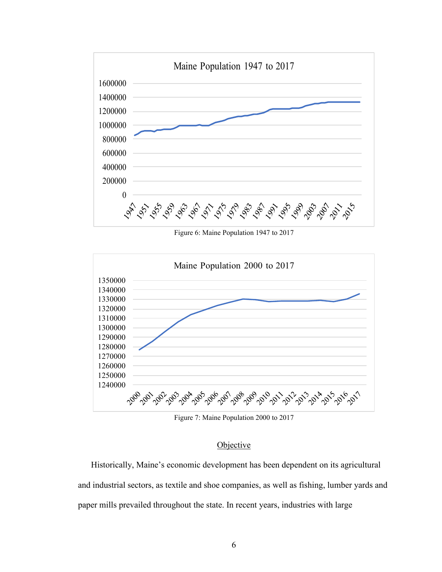

Figure 6: Maine Population 1947 to 2017



Figure 7: Maine Population 2000 to 2017

# **Objective**

Historically, Maine's economic development has been dependent on its agricultural and industrial sectors, as textile and shoe companies, as well as fishing, lumber yards and paper mills prevailed throughout the state. In recent years, industries with large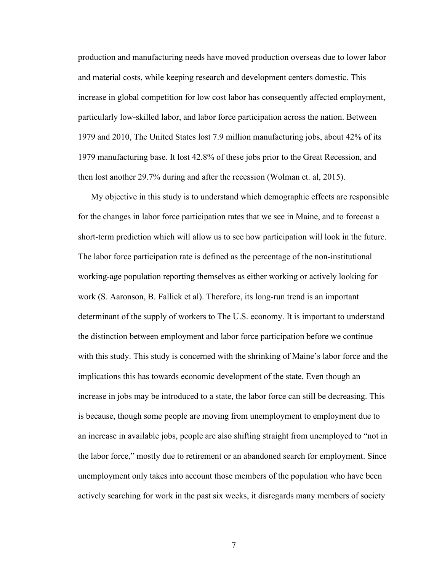production and manufacturing needs have moved production overseas due to lower labor and material costs, while keeping research and development centers domestic. This increase in global competition for low cost labor has consequently affected employment, particularly low-skilled labor, and labor force participation across the nation. Between 1979 and 2010, The United States lost 7.9 million manufacturing jobs, about 42% of its 1979 manufacturing base. It lost 42.8% of these jobs prior to the Great Recession, and then lost another 29.7% during and after the recession (Wolman et. al, 2015).

My objective in this study is to understand which demographic effects are responsible for the changes in labor force participation rates that we see in Maine, and to forecast a short-term prediction which will allow us to see how participation will look in the future. The labor force participation rate is defined as the percentage of the non-institutional working-age population reporting themselves as either working or actively looking for work (S. Aaronson, B. Fallick et al). Therefore, its long-run trend is an important determinant of the supply of workers to The U.S. economy. It is important to understand the distinction between employment and labor force participation before we continue with this study. This study is concerned with the shrinking of Maine's labor force and the implications this has towards economic development of the state. Even though an increase in jobs may be introduced to a state, the labor force can still be decreasing. This is because, though some people are moving from unemployment to employment due to an increase in available jobs, people are also shifting straight from unemployed to "not in the labor force," mostly due to retirement or an abandoned search for employment. Since unemployment only takes into account those members of the population who have been actively searching for work in the past six weeks, it disregards many members of society

7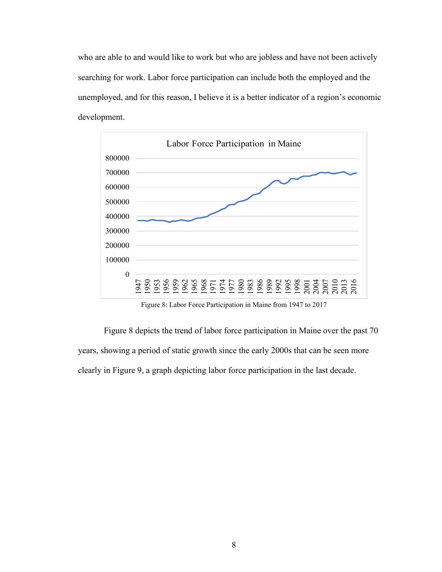who are able to and would like to work but who are jobless and have not been actively searching for work. Labor force participation can include both the employed and the unemployed, and for this reason, I believe it is a better indicator of a region's economic development.



Figure 8: Labor Force Participation in Maine from 1947 to 2017

Figure 8 depicts the trend of labor force participation in Maine over the past 70 years, showing a period of static growth since the early 2000s that can be seen more clearly in Figure 9, a graph depicting labor force participation in the last decade.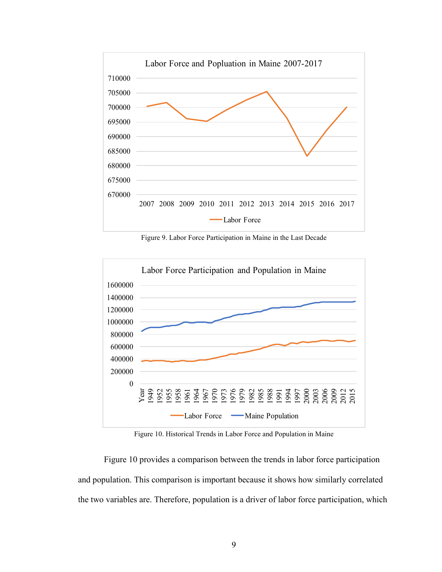

Figure 9. Labor Force Participation in Maine in the Last Decade



Figure 10. Historical Trends in Labor Force and Population in Maine

Figure 10 provides a comparison between the trends in labor force participation and population. This comparison is important because it shows how similarly correlated the two variables are. Therefore, population is a driver of labor force participation, which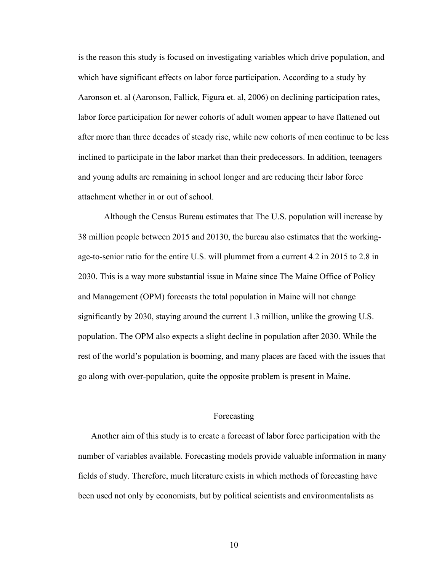is the reason this study is focused on investigating variables which drive population, and which have significant effects on labor force participation. According to a study by Aaronson et. al (Aaronson, Fallick, Figura et. al, 2006) on declining participation rates, labor force participation for newer cohorts of adult women appear to have flattened out after more than three decades of steady rise, while new cohorts of men continue to be less inclined to participate in the labor market than their predecessors. In addition, teenagers and young adults are remaining in school longer and are reducing their labor force attachment whether in or out of school.

Although the Census Bureau estimates that The U.S. population will increase by 38 million people between 2015 and 20130, the bureau also estimates that the workingage-to-senior ratio for the entire U.S. will plummet from a current 4.2 in 2015 to 2.8 in 2030. This is a way more substantial issue in Maine since The Maine Office of Policy and Management (OPM) forecasts the total population in Maine will not change significantly by 2030, staying around the current 1.3 million, unlike the growing U.S. population. The OPM also expects a slight decline in population after 2030. While the rest of the world's population is booming, and many places are faced with the issues that go along with over-population, quite the opposite problem is present in Maine.

#### Forecasting

Another aim of this study is to create a forecast of labor force participation with the number of variables available. Forecasting models provide valuable information in many fields of study. Therefore, much literature exists in which methods of forecasting have been used not only by economists, but by political scientists and environmentalists as

10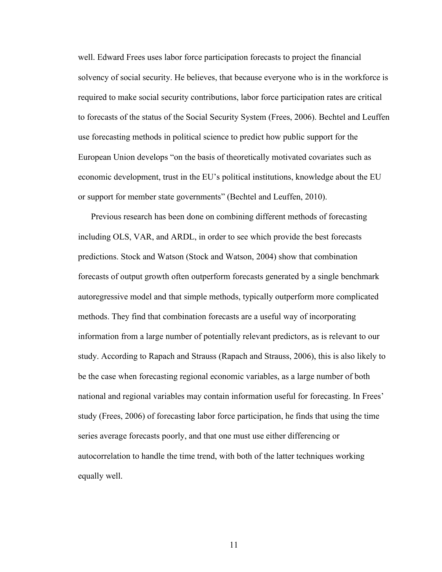well. Edward Frees uses labor force participation forecasts to project the financial solvency of social security. He believes, that because everyone who is in the workforce is required to make social security contributions, labor force participation rates are critical to forecasts of the status of the Social Security System (Frees, 2006). Bechtel and Leuffen use forecasting methods in political science to predict how public support for the European Union develops "on the basis of theoretically motivated covariates such as economic development, trust in the EU's political institutions, knowledge about the EU or support for member state governments" (Bechtel and Leuffen, 2010).

Previous research has been done on combining different methods of forecasting including OLS, VAR, and ARDL, in order to see which provide the best forecasts predictions. Stock and Watson (Stock and Watson, 2004) show that combination forecasts of output growth often outperform forecasts generated by a single benchmark autoregressive model and that simple methods, typically outperform more complicated methods. They find that combination forecasts are a useful way of incorporating information from a large number of potentially relevant predictors, as is relevant to our study. According to Rapach and Strauss (Rapach and Strauss, 2006), this is also likely to be the case when forecasting regional economic variables, as a large number of both national and regional variables may contain information useful for forecasting. In Frees' study (Frees, 2006) of forecasting labor force participation, he finds that using the time series average forecasts poorly, and that one must use either differencing or autocorrelation to handle the time trend, with both of the latter techniques working equally well.

11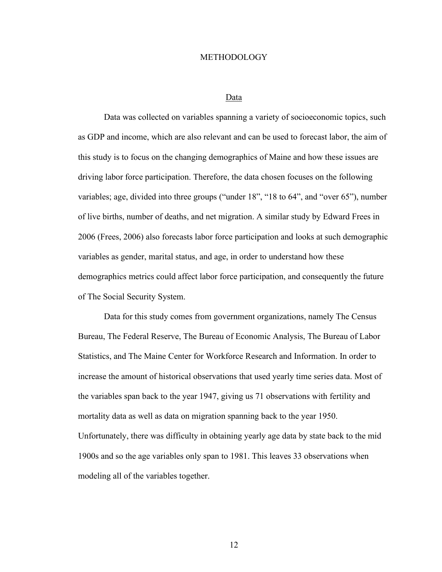#### METHODOLOGY

#### Data

Data was collected on variables spanning a variety of socioeconomic topics, such as GDP and income, which are also relevant and can be used to forecast labor, the aim of this study is to focus on the changing demographics of Maine and how these issues are driving labor force participation. Therefore, the data chosen focuses on the following variables; age, divided into three groups ("under 18", "18 to 64", and "over 65"), number of live births, number of deaths, and net migration. A similar study by Edward Frees in 2006 (Frees, 2006) also forecasts labor force participation and looks at such demographic variables as gender, marital status, and age, in order to understand how these demographics metrics could affect labor force participation, and consequently the future of The Social Security System.

Data for this study comes from government organizations, namely The Census Bureau, The Federal Reserve, The Bureau of Economic Analysis, The Bureau of Labor Statistics, and The Maine Center for Workforce Research and Information. In order to increase the amount of historical observations that used yearly time series data. Most of the variables span back to the year 1947, giving us 71 observations with fertility and mortality data as well as data on migration spanning back to the year 1950. Unfortunately, there was difficulty in obtaining yearly age data by state back to the mid 1900s and so the age variables only span to 1981. This leaves 33 observations when modeling all of the variables together.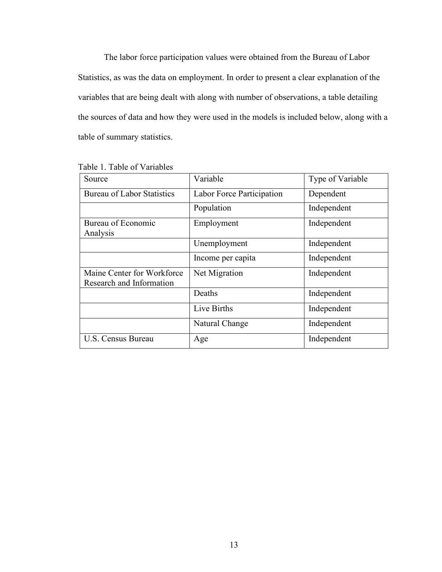The labor force participation values were obtained from the Bureau of Labor Statistics, as was the data on employment. In order to present a clear explanation of the variables that are being dealt with along with number of observations, a table detailing the sources of data and how they were used in the models is included below, along with a table of summary statistics.

| Source                                                 | Variable                  | Type of Variable |  |
|--------------------------------------------------------|---------------------------|------------------|--|
| <b>Bureau of Labor Statistics</b>                      | Labor Force Participation | Dependent        |  |
|                                                        | Population                | Independent      |  |
| Bureau of Economic<br>Analysis                         | Employment                | Independent      |  |
|                                                        | Unemployment              | Independent      |  |
|                                                        | Income per capita         | Independent      |  |
| Maine Center for Workforce<br>Research and Information | Net Migration             | Independent      |  |
|                                                        | Deaths                    | Independent      |  |
|                                                        | Live Births               | Independent      |  |
|                                                        | Natural Change            | Independent      |  |
| U.S. Census Bureau                                     | Age                       | Independent      |  |

| Table 1. Table of Variables |
|-----------------------------|
|-----------------------------|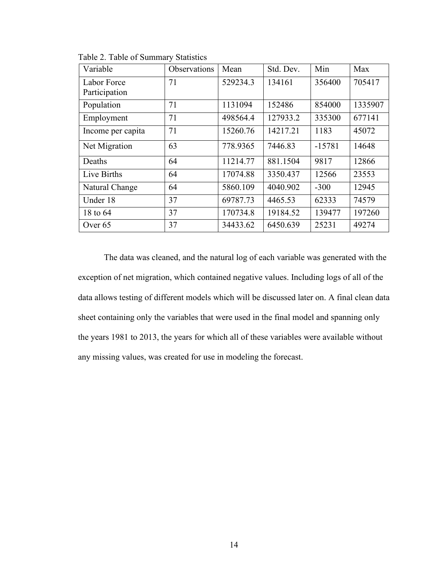| Variable          | Observations | Mean     | Std. Dev. | Min      | Max     |
|-------------------|--------------|----------|-----------|----------|---------|
| Labor Force       | 71           | 529234.3 | 134161    | 356400   | 705417  |
| Participation     |              |          |           |          |         |
| Population        | 71           | 1131094  | 152486    | 854000   | 1335907 |
| Employment        | 71           | 498564.4 | 127933.2  | 335300   | 677141  |
| Income per capita | 71           | 15260.76 | 14217.21  | 1183     | 45072   |
| Net Migration     | 63           | 778.9365 | 7446.83   | $-15781$ | 14648   |
| Deaths            | 64           | 11214.77 | 881.1504  | 9817     | 12866   |
| Live Births       | 64           | 17074.88 | 3350.437  | 12566    | 23553   |
| Natural Change    | 64           | 5860.109 | 4040.902  | $-300$   | 12945   |
| Under 18          | 37           | 69787.73 | 4465.53   | 62333    | 74579   |
| 18 to 64          | 37           | 170734.8 | 19184.52  | 139477   | 197260  |
| Over 65           | 37           | 34433.62 | 6450.639  | 25231    | 49274   |

Table 2. Table of Summary Statistics

The data was cleaned, and the natural log of each variable was generated with the exception of net migration, which contained negative values. Including logs of all of the data allows testing of different models which will be discussed later on. A final clean data sheet containing only the variables that were used in the final model and spanning only the years 1981 to 2013, the years for which all of these variables were available without any missing values, was created for use in modeling the forecast.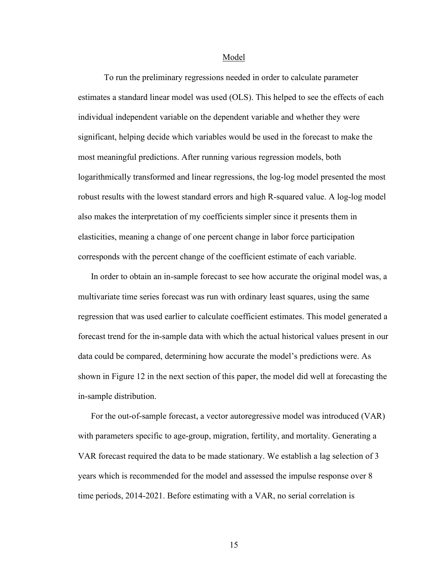Model

To run the preliminary regressions needed in order to calculate parameter estimates a standard linear model was used (OLS). This helped to see the effects of each individual independent variable on the dependent variable and whether they were significant, helping decide which variables would be used in the forecast to make the most meaningful predictions. After running various regression models, both logarithmically transformed and linear regressions, the log-log model presented the most robust results with the lowest standard errors and high R-squared value. A log-log model also makes the interpretation of my coefficients simpler since it presents them in elasticities, meaning a change of one percent change in labor force participation corresponds with the percent change of the coefficient estimate of each variable.

In order to obtain an in-sample forecast to see how accurate the original model was, a multivariate time series forecast was run with ordinary least squares, using the same regression that was used earlier to calculate coefficient estimates. This model generated a forecast trend for the in-sample data with which the actual historical values present in our data could be compared, determining how accurate the model's predictions were. As shown in Figure 12 in the next section of this paper, the model did well at forecasting the in-sample distribution.

For the out-of-sample forecast, a vector autoregressive model was introduced (VAR) with parameters specific to age-group, migration, fertility, and mortality. Generating a VAR forecast required the data to be made stationary. We establish a lag selection of 3 years which is recommended for the model and assessed the impulse response over 8 time periods, 2014-2021. Before estimating with a VAR, no serial correlation is

15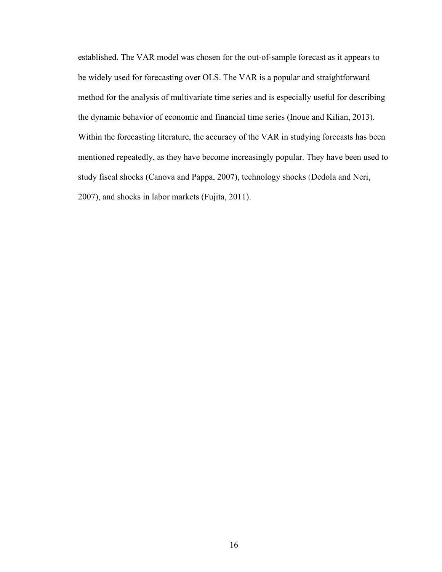established. The VAR model was chosen for the out-of-sample forecast as it appears to be widely used for forecasting over OLS. The VAR is a popular and straightforward method for the analysis of multivariate time series and is especially useful for describing the dynamic behavior of economic and financial time series (Inoue and Kilian, 2013). Within the forecasting literature, the accuracy of the VAR in studying forecasts has been mentioned repeatedly, as they have become increasingly popular. They have been used to study fiscal shocks (Canova and Pappa, 2007), technology shocks (Dedola and Neri, 2007), and shocks in labor markets (Fujita, 2011).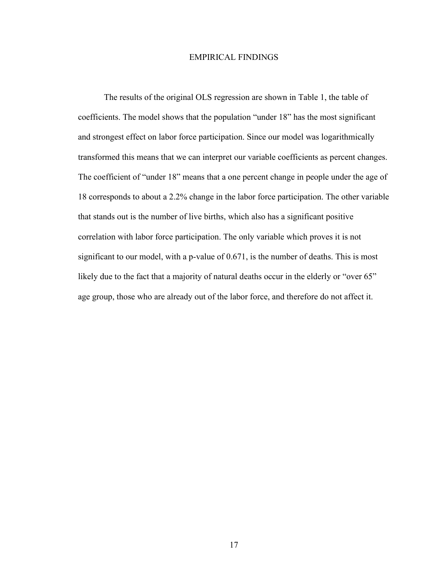#### EMPIRICAL FINDINGS

The results of the original OLS regression are shown in Table 1, the table of coefficients. The model shows that the population "under 18" has the most significant and strongest effect on labor force participation. Since our model was logarithmically transformed this means that we can interpret our variable coefficients as percent changes. The coefficient of "under 18" means that a one percent change in people under the age of 18 corresponds to about a 2.2% change in the labor force participation. The other variable that stands out is the number of live births, which also has a significant positive correlation with labor force participation. The only variable which proves it is not significant to our model, with a p-value of 0.671, is the number of deaths. This is most likely due to the fact that a majority of natural deaths occur in the elderly or "over 65" age group, those who are already out of the labor force, and therefore do not affect it.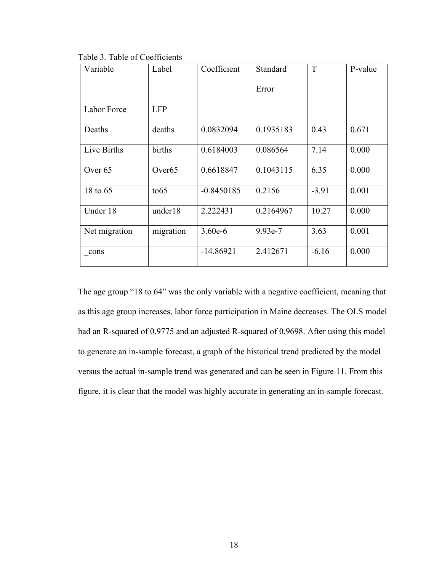| Variable           | Label              | Coefficient  | Standard  | T       | P-value |
|--------------------|--------------------|--------------|-----------|---------|---------|
|                    |                    |              | Error     |         |         |
| Labor Force        | <b>LFP</b>         |              |           |         |         |
| Deaths             | deaths             | 0.0832094    | 0.1935183 | 0.43    | 0.671   |
| Live Births        | births             | 0.6184003    | 0.086564  | 7.14    | 0.000   |
| Over <sub>65</sub> | Over <sub>65</sub> | 0.6618847    | 0.1043115 | 6.35    | 0.000   |
| 18 to 65           | to 65              | $-0.8450185$ | 0.2156    | $-3.91$ | 0.001   |
| Under 18           | under18            | 2.222431     | 0.2164967 | 10.27   | 0.000   |
| Net migration      | migration          | $3.60e-6$    | 9.93e-7   | 3.63    | 0.001   |
| cons               |                    | $-14.86921$  | 2.412671  | $-6.16$ | 0.000   |

Table 3. Table of Coefficients

The age group "18 to 64" was the only variable with a negative coefficient, meaning that as this age group increases, labor force participation in Maine decreases. The OLS model had an R-squared of 0.9775 and an adjusted R-squared of 0.9698. After using this model to generate an in-sample forecast, a graph of the historical trend predicted by the model versus the actual in-sample trend was generated and can be seen in Figure 11. From this figure, it is clear that the model was highly accurate in generating an in-sample forecast.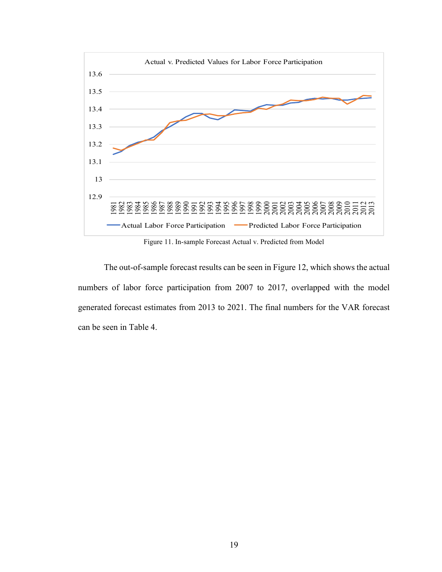

Figure 11. In-sample Forecast Actual v. Predicted from Model

The out-of-sample forecast results can be seen in Figure 12, which shows the actual numbers of labor force participation from 2007 to 2017, overlapped with the model generated forecast estimates from 2013 to 2021. The final numbers for the VAR forecast can be seen in Table 4.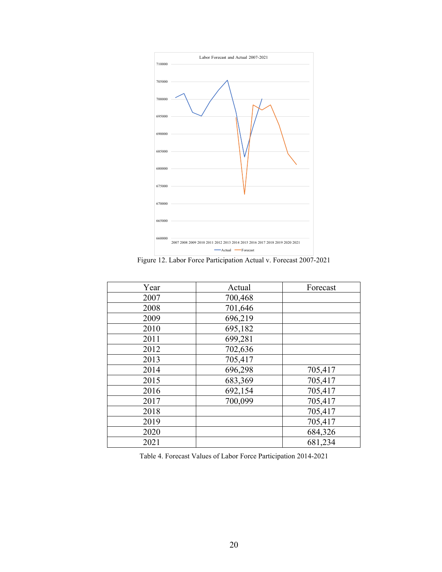

Figure 12. Labor Force Participation Actual v. Forecast 2007-2021

| Year | Actual  | Forecast |
|------|---------|----------|
| 2007 | 700,468 |          |
| 2008 | 701,646 |          |
| 2009 | 696,219 |          |
| 2010 | 695,182 |          |
| 2011 | 699,281 |          |
| 2012 | 702,636 |          |
| 2013 | 705,417 |          |
| 2014 | 696,298 | 705,417  |
| 2015 | 683,369 | 705,417  |
| 2016 | 692,154 | 705,417  |
| 2017 | 700,099 | 705,417  |
| 2018 |         | 705,417  |
| 2019 |         | 705,417  |
| 2020 |         | 684,326  |
| 2021 |         | 681,234  |

Table 4. Forecast Values of Labor Force Participation 2014-2021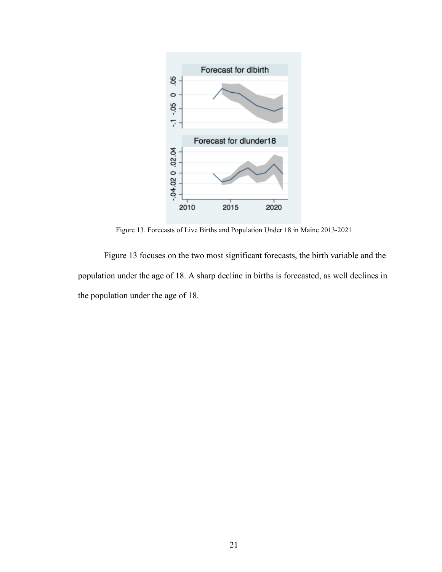

Figure 13. Forecasts of Live Births and Population Under 18 in Maine 2013-2021

Figure 13 focuses on the two most significant forecasts, the birth variable and the population under the age of 18. A sharp decline in births is forecasted, as well declines in the population under the age of 18.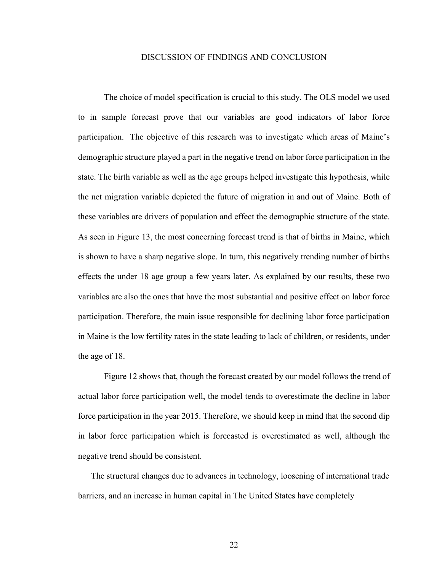#### DISCUSSION OF FINDINGS AND CONCLUSION

The choice of model specification is crucial to this study. The OLS model we used to in sample forecast prove that our variables are good indicators of labor force participation. The objective of this research was to investigate which areas of Maine's demographic structure played a part in the negative trend on labor force participation in the state. The birth variable as well as the age groups helped investigate this hypothesis, while the net migration variable depicted the future of migration in and out of Maine. Both of these variables are drivers of population and effect the demographic structure of the state. As seen in Figure 13, the most concerning forecast trend is that of births in Maine, which is shown to have a sharp negative slope. In turn, this negatively trending number of births effects the under 18 age group a few years later. As explained by our results, these two variables are also the ones that have the most substantial and positive effect on labor force participation. Therefore, the main issue responsible for declining labor force participation in Maine is the low fertility rates in the state leading to lack of children, or residents, under the age of 18.

Figure 12 shows that, though the forecast created by our model follows the trend of actual labor force participation well, the model tends to overestimate the decline in labor force participation in the year 2015. Therefore, we should keep in mind that the second dip in labor force participation which is forecasted is overestimated as well, although the negative trend should be consistent.

The structural changes due to advances in technology, loosening of international trade barriers, and an increase in human capital in The United States have completely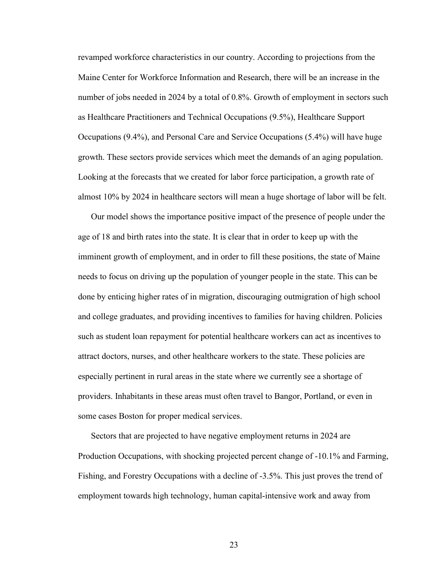revamped workforce characteristics in our country. According to projections from the Maine Center for Workforce Information and Research, there will be an increase in the number of jobs needed in 2024 by a total of 0.8%. Growth of employment in sectors such as Healthcare Practitioners and Technical Occupations (9.5%), Healthcare Support Occupations (9.4%), and Personal Care and Service Occupations (5.4%) will have huge growth. These sectors provide services which meet the demands of an aging population. Looking at the forecasts that we created for labor force participation, a growth rate of almost 10% by 2024 in healthcare sectors will mean a huge shortage of labor will be felt.

Our model shows the importance positive impact of the presence of people under the age of 18 and birth rates into the state. It is clear that in order to keep up with the imminent growth of employment, and in order to fill these positions, the state of Maine needs to focus on driving up the population of younger people in the state. This can be done by enticing higher rates of in migration, discouraging outmigration of high school and college graduates, and providing incentives to families for having children. Policies such as student loan repayment for potential healthcare workers can act as incentives to attract doctors, nurses, and other healthcare workers to the state. These policies are especially pertinent in rural areas in the state where we currently see a shortage of providers. Inhabitants in these areas must often travel to Bangor, Portland, or even in some cases Boston for proper medical services.

Sectors that are projected to have negative employment returns in 2024 are Production Occupations, with shocking projected percent change of -10.1% and Farming, Fishing, and Forestry Occupations with a decline of -3.5%. This just proves the trend of employment towards high technology, human capital-intensive work and away from

23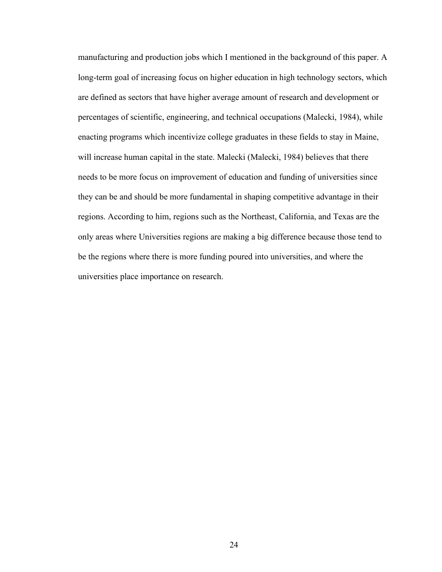manufacturing and production jobs which I mentioned in the background of this paper. A long-term goal of increasing focus on higher education in high technology sectors, which are defined as sectors that have higher average amount of research and development or percentages of scientific, engineering, and technical occupations (Malecki, 1984), while enacting programs which incentivize college graduates in these fields to stay in Maine, will increase human capital in the state. Malecki (Malecki, 1984) believes that there needs to be more focus on improvement of education and funding of universities since they can be and should be more fundamental in shaping competitive advantage in their regions. According to him, regions such as the Northeast, California, and Texas are the only areas where Universities regions are making a big difference because those tend to be the regions where there is more funding poured into universities, and where the universities place importance on research.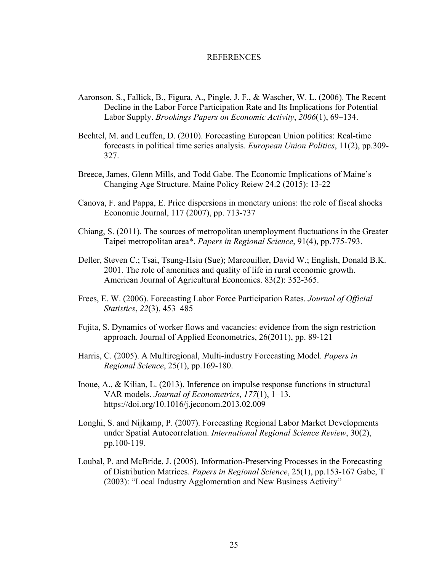#### REFERENCES

- Aaronson, S., Fallick, B., Figura, A., Pingle, J. F., & Wascher, W. L. (2006). The Recent Decline in the Labor Force Participation Rate and Its Implications for Potential Labor Supply. *Brookings Papers on Economic Activity*, *2006*(1), 69–134.
- Bechtel, M. and Leuffen, D. (2010). Forecasting European Union politics: Real-time forecasts in political time series analysis. *European Union Politics*, 11(2), pp.309- 327.
- Breece, James, Glenn Mills, and Todd Gabe. The Economic Implications of Maine's Changing Age Structure. Maine Policy Reiew 24.2 (2015): 13-22
- Canova, F. and Pappa, E. Price dispersions in monetary unions: the role of fiscal shocks Economic Journal, 117 (2007), pp. 713-737
- Chiang, S. (2011). The sources of metropolitan unemployment fluctuations in the Greater Taipei metropolitan area\*. *Papers in Regional Science*, 91(4), pp.775-793.
- Deller, Steven C.; Tsai, Tsung-Hsiu (Sue); Marcouiller, David W.; English, Donald B.K. 2001. The role of amenities and quality of life in rural economic growth. American Journal of Agricultural Economics. 83(2): 352-365.
- Frees, E. W. (2006). Forecasting Labor Force Participation Rates. *Journal of Official Statistics*, *22*(3), 453–485
- Fujita, S. Dynamics of worker flows and vacancies: evidence from the sign restriction approach. Journal of Applied Econometrics, 26(2011), pp. 89-121
- Harris, C. (2005). A Multiregional, Multi-industry Forecasting Model. *Papers in Regional Science*, 25(1), pp.169-180.
- Inoue, A., & Kilian, L. (2013). Inference on impulse response functions in structural VAR models. *Journal of Econometrics*, *177*(1), 1–13. https://doi.org/10.1016/j.jeconom.2013.02.009
- Longhi, S. and Nijkamp, P. (2007). Forecasting Regional Labor Market Developments under Spatial Autocorrelation. *International Regional Science Review*, 30(2), pp.100-119.
- Loubal, P. and McBride, J. (2005). Information-Preserving Processes in the Forecasting of Distribution Matrices. *Papers in Regional Science*, 25(1), pp.153-167 Gabe, T (2003): "Local Industry Agglomeration and New Business Activity"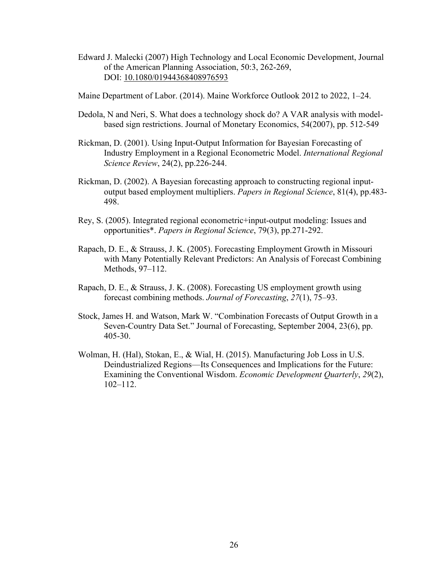Edward J. Malecki (2007) High Technology and Local Economic Development, Journal of the American Planning Association, 50:3, 262-269, DOI: 10.1080/01944368408976593

Maine Department of Labor. (2014). Maine Workforce Outlook 2012 to 2022, 1–24.

- Dedola, N and Neri, S. What does a technology shock do? A VAR analysis with modelbased sign restrictions. Journal of Monetary Economics, 54(2007), pp. 512-549
- Rickman, D. (2001). Using Input-Output Information for Bayesian Forecasting of Industry Employment in a Regional Econometric Model. *International Regional Science Review*, 24(2), pp.226-244.
- Rickman, D. (2002). A Bayesian forecasting approach to constructing regional inputoutput based employment multipliers. *Papers in Regional Science*, 81(4), pp.483- 498.
- Rey, S. (2005). Integrated regional econometric+input-output modeling: Issues and opportunities\*. *Papers in Regional Science*, 79(3), pp.271-292.
- Rapach, D. E., & Strauss, J. K. (2005). Forecasting Employment Growth in Missouri with Many Potentially Relevant Predictors: An Analysis of Forecast Combining Methods, 97–112.
- Rapach, D. E., & Strauss, J. K. (2008). Forecasting US employment growth using forecast combining methods. *Journal of Forecasting*, *27*(1), 75–93.
- Stock, James H. and Watson, Mark W. "Combination Forecasts of Output Growth in a Seven-Country Data Set." Journal of Forecasting, September 2004, 23(6), pp. 405-30.
- Wolman, H. (Hal), Stokan, E., & Wial, H. (2015). Manufacturing Job Loss in U.S. Deindustrialized Regions—Its Consequences and Implications for the Future: Examining the Conventional Wisdom. *Economic Development Quarterly*, *29*(2), 102–112.